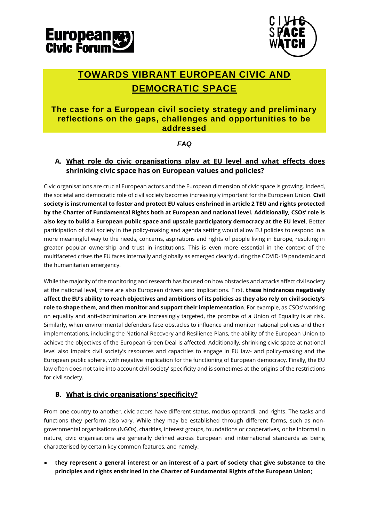



# **TOWARDS VIBRANT EUROPEAN CIVIC AND DEMOCRATIC SPACE**

## **The case for a European civil society strategy and preliminary reflections on the gaps, challenges and opportunities to be addressed**

#### *FAQ*

### **A. What role do civic organisations play at EU level and what effects does shrinking civic space has on European values and policies?**

Civic organisations are crucial European actors and the European dimension of civic space is growing. Indeed, the societal and democratic role of civil society becomes increasingly important for the European Union. **Civil society is instrumental to foster and protect EU values enshrined in article 2 TEU and rights protected by the Charter of Fundamental Rights both at European and national level. Additionally, CSOs' role is also key to build a European public space and upscale participatory democracy at the EU level**. Better participation of civil society in the policy-making and agenda setting would allow EU policies to respond in a more meaningful way to the needs, concerns, aspirations and rights of people living in Europe, resulting in greater popular ownership and trust in institutions. This is even more essential in the context of the multifaceted crises the EU faces internally and globally as emerged clearly during the COVID-19 pandemic and the humanitarian emergency.

While the majority of the monitoring and research has focused on how obstacles and attacks affect civil society at the national level, there are also European drivers and implications. First, **these hindrances negatively affect the EU's ability to reach objectives and ambitions of its policies as they also rely on civil society's role to shape them, and then monitor and support their implementation**. For example, as CSOs' working on equality and anti-discrimination are increasingly targeted, the promise of a Union of Equality is at risk. Similarly, when environmental defenders face obstacles to influence and monitor national policies and their implementations, including the National Recovery and Resilience Plans, the ability of the European Union to achieve the objectives of the European Green Deal is affected. Additionally, shrinking civic space at national level also impairs civil society's resources and capacities to engage in EU law- and policy-making and the European public sphere, with negative implication for the functioning of European democracy. Finally, the EU law often does not take into account civil society' specificity and is sometimes at the origins of the restrictions for civil society.

#### **B. What is civic organisations' specificity?**

From one country to another, civic actors have different status, modus operandi, and rights. The tasks and functions they perform also vary. While they may be established through different forms, such as nongovernmental organisations (NGOs), charities, interest groups, foundations or cooperatives, or be informal in nature, civic organisations are generally defined across European and international standards as being characterised by certain key common features, and namely:

● **they represent a general interest or an interest of a part of society that give substance to the principles and rights enshrined in the Charter of Fundamental Rights of the European Union;**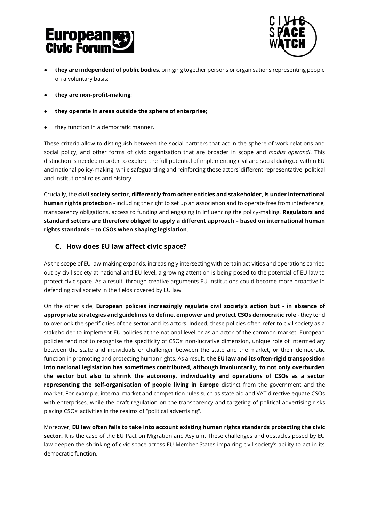# **European**<br>Civic Forum



- **they are independent of public bodies**, bringing together persons or organisations representing people on a voluntary basis;
- **they are non-profit-making**;
- **they operate in areas outside the sphere of enterprise;**
- they function in a democratic manner.

These criteria allow to distinguish between the social partners that act in the sphere of work relations and social policy, and other forms of civic organisation that are broader in scope and *modus operandi*. This distinction is needed in order to explore the full potential of implementing civil and social dialogue within EU and national policy-making, while safeguarding and reinforcing these actors' different representative, political and institutional roles and history.

Crucially, the **civil society sector, differently from other entities and stakeholder, is under international human rights protection** - including the right to set up an association and to operate free from interference, transparency obligations, access to funding and engaging in influencing the policy-making. **Regulators and standard setters are therefore obliged to apply a different approach – based on international human rights standards – to CSOs when shaping legislation**.

### **C. How does EU law affect civic space?**

As the scope of EU law-making expands, increasingly intersecting with certain activities and operations carried out by civil society at national and EU level, a growing attention is being posed to the potential of EU law to protect civic space. As a result, through creative arguments EU institutions could become more proactive in defending civil society in the fields covered by EU law.

On the other side, **European policies increasingly regulate civil society's action but - in absence of appropriate strategies and guidelines to define, empower and protect CSOs democratic role** - they tend to overlook the specificities of the sector and its actors. Indeed, these policies often refer to civil society as a stakeholder to implement EU policies at the national level or as an actor of the common market. European policies tend not to recognise the specificity of CSOs' non-lucrative dimension, unique role of intermediary between the state and individuals or challenger between the state and the market, or their democratic function in promoting and protecting human rights. As a result, **the EU law and its often-rigid transposition into national legislation has sometimes contributed, although involuntarily, to not only overburden the sector but also to shrink the autonomy, individuality and operations of CSOs as a sector representing the self-organisation of people living in Europe** distinct from the government and the market. For example, internal market and competition rules such as state aid and VAT directive equate CSOs with enterprises, while the draft regulation on the transparency and targeting of political advertising risks placing CSOs' activities in the realms of "political advertising".

Moreover, **EU law often fails to take into account existing human rights standards protecting the civic sector.** It is the case of the EU Pact on Migration and Asylum. These challenges and obstacles posed by EU law deepen the shrinking of civic space across EU Member States impairing civil society's ability to act in its democratic function.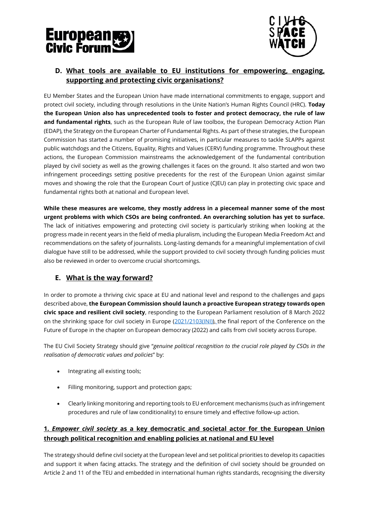



## **D. What tools are available to EU institutions for empowering, engaging, supporting and protecting civic organisations?**

EU Member States and the European Union have made international commitments to engage, support and protect civil society, including through resolutions in the Unite Nation's Human Rights Council (HRC). **Today the European Union also has unprecedented tools to foster and protect democracy, the rule of law and fundamental rights**, such as the European Rule of law toolbox, the European Democracy Action Plan (EDAP), the Strategy on the European Charter of Fundamental Rights. As part of these strategies, the European Commission has started a number of promising initiatives, in particular measures to tackle SLAPPs against public watchdogs and the Citizens, Equality, Rights and Values (CERV) funding programme. Throughout these actions, the European Commission mainstreams the acknowledgement of the fundamental contribution played by civil society as well as the growing challenges it faces on the ground. It also started and won two infringement proceedings setting positive precedents for the rest of the European Union against similar moves and showing the role that the European Court of Justice (CJEU) can play in protecting civic space and fundamental rights both at national and European level.

**While these measures are welcome, they mostly address in a piecemeal manner some of the most urgent problems with which CSOs are being confronted. An overarching solution has yet to surface.**  The lack of initiatives empowering and protecting civil society is particularly striking when looking at the progress made in recent years in the field of media pluralism, including the European Media Freedom Act and recommendations on the safety of journalists. Long-lasting demands for a meaningful implementation of civil dialogue have still to be addressed, while the support provided to civil society through funding policies must also be reviewed in order to overcome crucial shortcomings.

#### **E. What is the way forward?**

In order to promote a thriving civic space at EU and national level and respond to the challenges and gaps described above, **the European Commission should launch a proactive European strategy towards open civic space and resilient civil society**, responding to the European Parliament resolution of 8 March 2022 on the shrinking space for civil society in Europe [\(2021/2103\(INI\)\)](https://oeil.secure.europarl.europa.eu/oeil/popups/ficheprocedure.do?lang=en&reference=2021/2103(INI)), the final report of the Conference on the Future of Europe in the chapter on European democracy (2022) and calls from civil society across Europe.

The EU Civil Society Strategy should give "*genuine political recognition to the crucial role played by CSOs in the realisation of democratic values and policies*" by:

- Integrating all existing tools;
- Filling monitoring, support and protection gaps;
- Clearly linking monitoring and reporting tools to EU enforcement mechanisms (such as infringement procedures and rule of law conditionality) to ensure timely and effective follow-up action.

#### **1.** *Empower civil society* **as a key democratic and societal actor for the European Union through political recognition and enabling policies at national and EU level**

The strategy should define civil society at the European level and set political priorities to develop its capacities and support it when facing attacks. The strategy and the definition of civil society should be grounded on Article 2 and 11 of the TEU and embedded in international human rights standards, recognising the diversity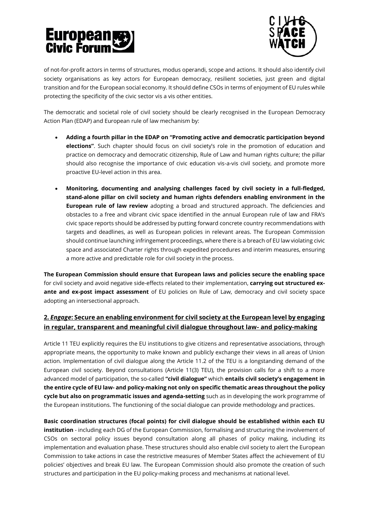# **European**<br>Civic Forum



of not-for-profit actors in terms of structures, modus operandi, scope and actions. It should also identify civil society organisations as key actors for European democracy, resilient societies, just green and digital transition and for the European social economy. It should define CSOs in terms of enjoyment of EU rules while protecting the specificity of the civic sector vis a vis other entities.

The democratic and societal role of civil society should be clearly recognised in the European Democracy Action Plan (EDAP) and European rule of law mechanism by:

- **Adding a fourth pillar in the EDAP on "Promoting active and democratic participation beyond elections"**. Such chapter should focus on civil society's role in the promotion of education and practice on democracy and democratic citizenship, Rule of Law and human rights culture; the pillar should also recognise the importance of civic education vis-a-vis civil society, and promote more proactive EU-level action in this area.
- **Monitoring, documenting and analysing challenges faced by civil society in a full-fledged, stand-alone pillar on civil society and human rights defenders enabling environment in the European rule of law review** adopting a broad and structured approach. The deficiencies and obstacles to a free and vibrant civic space identified in the annual European rule of law and FRA's civic space reports should be addressed by putting forward concrete country recommendations with targets and deadlines, as well as European policies in relevant areas. The European Commission should continue launching infringement proceedings, where there is a breach of EU law violating civic space and associated Charter rights through expedited procedures and interim measures, ensuring a more active and predictable role for civil society in the process.

**The European Commission should ensure that European laws and policies secure the enabling space** for civil society and avoid negative side-effects related to their implementation, **carrying out structured exante and ex-post impact assessment** of EU policies on Rule of Law, democracy and civil society space adopting an intersectional approach.

### **2.** *Engage***: Secure an enabling environment for civil society at the European level by engaging in regular, transparent and meaningful civil dialogue throughout law- and policy-making**

Article 11 TEU explicitly requires the EU institutions to give citizens and representative associations, through appropriate means, the opportunity to make known and publicly exchange their views in all areas of Union action. Implementation of civil dialogue along the Article 11.2 of the TEU is a longstanding demand of the European civil society. Beyond consultations (Article 11(3) TEU), the provision calls for a shift to a more advanced model of participation, the so-called **"civil dialogue"** which **entails civil society's engagement in the entire cycle of EU law- and policy-making not only on specific thematic areas throughout the policy cycle but also on programmatic issues and agenda-setting** such as in developing the work programme of the European institutions. The functioning of the social dialogue can provide methodology and practices.

**Basic coordination structures (focal points) for civil dialogue should be established within each EU institution** - including each DG of the European Commission, formalising and structuring the involvement of CSOs on sectoral policy issues beyond consultation along all phases of policy making, including its implementation and evaluation phase. These structures should also enable civil society to alert the European Commission to take actions in case the restrictive measures of Member States affect the achievement of EU policies' objectives and break EU law. The European Commission should also promote the creation of such structures and participation in the EU policy-making process and mechanisms at national level.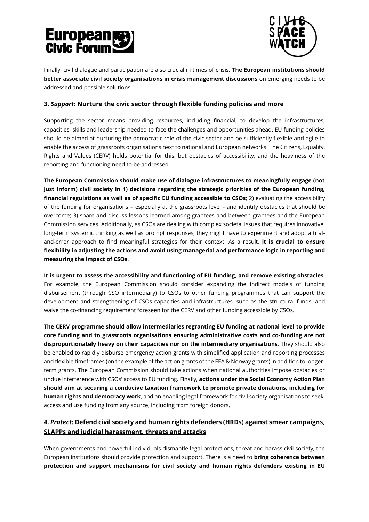# **European**<br>Civic Forum



Finally, civil dialogue and participation are also crucial in times of crisis. **The European institutions should better associate civil society organisations in crisis management discussions** on emerging needs to be addressed and possible solutions.

#### **3.** *Support***: Nurture the civic sector through flexible funding policies and more**

Supporting the sector means providing resources, including financial, to develop the infrastructures, capacities, skills and leadership needed to face the challenges and opportunities ahead. EU funding policies should be aimed at nurturing the democratic role of the civic sector and be sufficiently flexible and agile to enable the access of grassroots organisations next to national and European networks. The Citizens, Equality, Rights and Values (CERV) holds potential for this, but obstacles of accessibility, and the heaviness of the reporting and functioning need to be addressed.

**The European Commission should make use of dialogue infrastructures to meaningfully engage (not just inform) civil society in 1) decisions regarding the strategic priorities of the European funding, financial regulations as well as of specific EU funding accessible to CSOs**; 2) evaluating the accessibility of the funding for organisations – especially at the grassroots level - and identify obstacles that should be overcome; 3) share and discuss lessons learned among grantees and between grantees and the European Commission services. Additionally, as CSOs are dealing with complex societal issues that requires innovative, long-term systemic thinking as well as prompt responses, they might have to experiment and adopt a trialand-error approach to find meaningful strategies for their context. As a result, **it is crucial to ensure flexibility in adjusting the actions and avoid using managerial and performance logic in reporting and measuring the impact of CSOs**.

**It is urgent to assess the accessibility and functioning of EU funding, and remove existing obstacles**. For example, the European Commission should consider expanding the indirect models of funding disbursement (through CSO intermediary) to CSOs to other funding programmes that can support the development and strengthening of CSOs capacities and infrastructures, such as the structural funds, and waive the co-financing requirement foreseen for the CERV and other funding accessible by CSOs.

**The CERV programme should allow intermediaries regranting EU funding at national level to provide core funding and to grassroots organisations ensuring administrative costs and co-funding are not disproportionately heavy on their capacities nor on the intermediary organisations**. They should also be enabled to rapidly disburse emergency action grants with simplified application and reporting processes and flexible timeframes (on the example of the action grants of the EEA & Norway grants) in addition to longerterm grants. The European Commission should take actions when national authorities impose obstacles or undue interference with CSOs' access to EU funding. Finally, **actions under the Social Economy Action Plan should aim at securing a conducive taxation framework to promote private donations, including for human rights and democracy work**, and an enabling legal framework for civil society organisations to seek, access and use funding from any source, including from foreign donors.

# **4.** *Protect***: Defend civil society and human rights defenders (HRDs) against smear campaigns, SLAPPs and judicial harassment, threats and attacks**

When governments and powerful individuals dismantle legal protections, threat and harass civil society, the European institutions should provide protection and support. There is a need to **bring coherence between protection and support mechanisms for civil society and human rights defenders existing in EU**